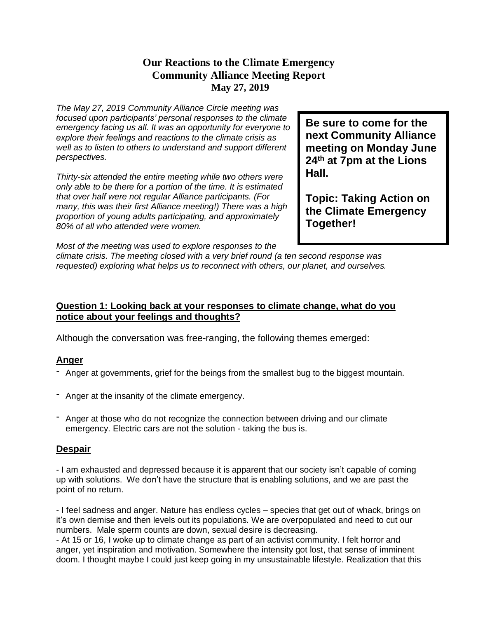## **Our Reactions to the Climate Emergency Community Alliance Meeting Report May 27, 2019**

*The May 27, 2019 Community Alliance Circle meeting was focused upon participants' personal responses to the climate emergency facing us all. It was an opportunity for everyone to explore their feelings and reactions to the climate crisis as well as to listen to others to understand and support different perspectives.*

*Thirty-six attended the entire meeting while two others were only able to be there for a portion of the time. It is estimated that over half were not regular Alliance participants. (For many, this was their first Alliance meeting!) There was a high proportion of young adults participating, and approximately 80% of all who attended were women.*

**Be sure to come for the next Community Alliance meeting on Monday June 24th at 7pm at the Lions Hall.**

**Topic: Taking Action on the Climate Emergency Together!**

*Most of the meeting was used to explore responses to the*

*climate crisis. The meeting closed with a very brief round (a ten second response was requested) exploring what helps us to reconnect with others, our planet, and ourselves.*

## **Question 1: Looking back at your responses to climate change, what do you notice about your feelings and thoughts?**

Although the conversation was free-ranging, the following themes emerged:

## **Anger**

- Anger at governments, grief for the beings from the smallest bug to the biggest mountain.
- Anger at the insanity of the climate emergency.
- Anger at those who do not recognize the connection between driving and our climate emergency. Electric cars are not the solution - taking the bus is.

### **Despair**

- I am exhausted and depressed because it is apparent that our society isn't capable of coming up with solutions. We don't have the structure that is enabling solutions, and we are past the point of no return.

- I feel sadness and anger. Nature has endless cycles – species that get out of whack, brings on it's own demise and then levels out its populations. We are overpopulated and need to cut our numbers. Male sperm counts are down, sexual desire is decreasing.

- At 15 or 16, I woke up to climate change as part of an activist community. I felt horror and anger, yet inspiration and motivation. Somewhere the intensity got lost, that sense of imminent doom. I thought maybe I could just keep going in my unsustainable lifestyle. Realization that this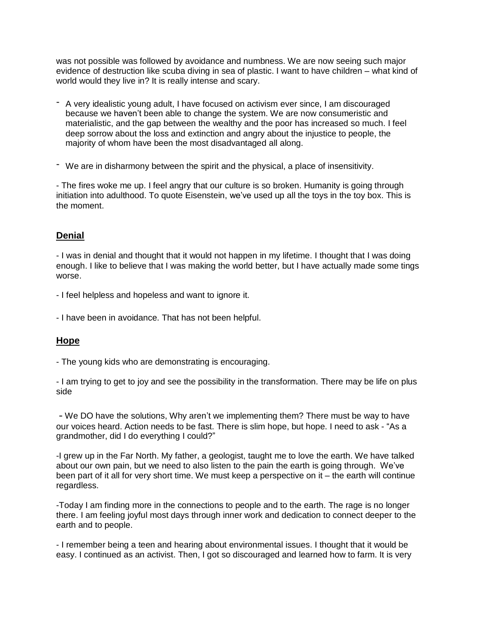was not possible was followed by avoidance and numbness. We are now seeing such major evidence of destruction like scuba diving in sea of plastic. I want to have children – what kind of world would they live in? It is really intense and scary.

- A very idealistic young adult, I have focused on activism ever since, I am discouraged because we haven't been able to change the system. We are now consumeristic and materialistic, and the gap between the wealthy and the poor has increased so much. I feel deep sorrow about the loss and extinction and angry about the injustice to people, the majority of whom have been the most disadvantaged all along.
- We are in disharmony between the spirit and the physical, a place of insensitivity.

- The fires woke me up. I feel angry that our culture is so broken. Humanity is going through initiation into adulthood. To quote Eisenstein, we've used up all the toys in the toy box. This is the moment.

### **Denial**

- I was in denial and thought that it would not happen in my lifetime. I thought that I was doing enough. I like to believe that I was making the world better, but I have actually made some tings worse.

- I feel helpless and hopeless and want to ignore it.

- I have been in avoidance. That has not been helpful.

### **Hope**

- The young kids who are demonstrating is encouraging.

- I am trying to get to joy and see the possibility in the transformation. There may be life on plus side

- We DO have the solutions, Why aren't we implementing them? There must be way to have our voices heard. Action needs to be fast. There is slim hope, but hope. I need to ask - "As a grandmother, did I do everything I could?"

-I grew up in the Far North. My father, a geologist, taught me to love the earth. We have talked about our own pain, but we need to also listen to the pain the earth is going through. We've been part of it all for very short time. We must keep a perspective on it – the earth will continue regardless.

-Today I am finding more in the connections to people and to the earth. The rage is no longer there. I am feeling joyful most days through inner work and dedication to connect deeper to the earth and to people.

- I remember being a teen and hearing about environmental issues. I thought that it would be easy. I continued as an activist. Then, I got so discouraged and learned how to farm. It is very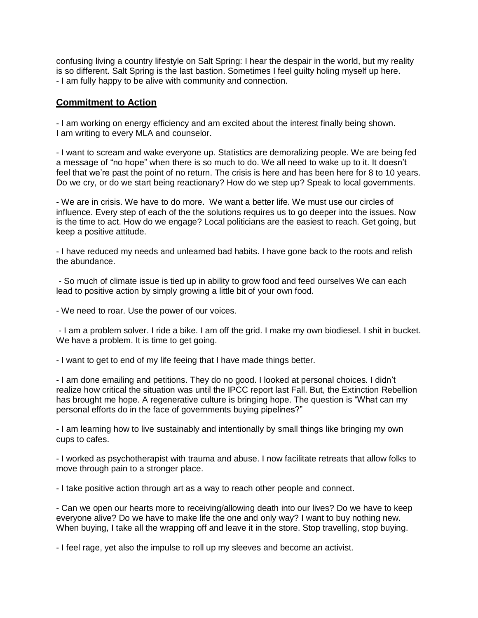confusing living a country lifestyle on Salt Spring: I hear the despair in the world, but my reality is so different. Salt Spring is the last bastion. Sometimes I feel guilty holing myself up here. - I am fully happy to be alive with community and connection.

#### **Commitment to Action**

- I am working on energy efficiency and am excited about the interest finally being shown. I am writing to every MLA and counselor.

- I want to scream and wake everyone up. Statistics are demoralizing people. We are being fed a message of "no hope" when there is so much to do. We all need to wake up to it. It doesn't feel that we're past the point of no return. The crisis is here and has been here for 8 to 10 years. Do we cry, or do we start being reactionary? How do we step up? Speak to local governments.

- We are in crisis. We have to do more. We want a better life. We must use our circles of influence. Every step of each of the the solutions requires us to go deeper into the issues. Now is the time to act. How do we engage? Local politicians are the easiest to reach. Get going, but keep a positive attitude.

- I have reduced my needs and unlearned bad habits. I have gone back to the roots and relish the abundance.

- So much of climate issue is tied up in ability to grow food and feed ourselves We can each lead to positive action by simply growing a little bit of your own food.

- We need to roar. Use the power of our voices.

- I am a problem solver. I ride a bike. I am off the grid. I make my own biodiesel. I shit in bucket. We have a problem. It is time to get going.

- I want to get to end of my life feeing that I have made things better.

- I am done emailing and petitions. They do no good. I looked at personal choices. I didn't realize how critical the situation was until the IPCC report last Fall. But, the Extinction Rebellion has brought me hope. A regenerative culture is bringing hope. The question is "What can my personal efforts do in the face of governments buying pipelines?"

- I am learning how to live sustainably and intentionally by small things like bringing my own cups to cafes.

- I worked as psychotherapist with trauma and abuse. I now facilitate retreats that allow folks to move through pain to a stronger place.

- I take positive action through art as a way to reach other people and connect.

- Can we open our hearts more to receiving/allowing death into our lives? Do we have to keep everyone alive? Do we have to make life the one and only way? I want to buy nothing new. When buying, I take all the wrapping off and leave it in the store. Stop travelling, stop buying.

- I feel rage, yet also the impulse to roll up my sleeves and become an activist.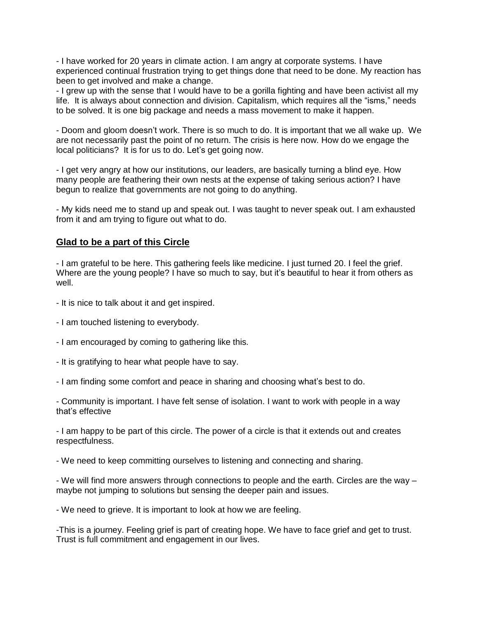- I have worked for 20 years in climate action. I am angry at corporate systems. I have experienced continual frustration trying to get things done that need to be done. My reaction has been to get involved and make a change.

- I grew up with the sense that I would have to be a gorilla fighting and have been activist all my life. It is always about connection and division. Capitalism, which requires all the "isms," needs to be solved. It is one big package and needs a mass movement to make it happen.

- Doom and gloom doesn't work. There is so much to do. It is important that we all wake up. We are not necessarily past the point of no return. The crisis is here now. How do we engage the local politicians? It is for us to do. Let's get going now.

- I get very angry at how our institutions, our leaders, are basically turning a blind eye. How many people are feathering their own nests at the expense of taking serious action? I have begun to realize that governments are not going to do anything.

- My kids need me to stand up and speak out. I was taught to never speak out. I am exhausted from it and am trying to figure out what to do.

#### **Glad to be a part of this Circle**

- I am grateful to be here. This gathering feels like medicine. I just turned 20. I feel the grief. Where are the young people? I have so much to say, but it's beautiful to hear it from others as well.

- It is nice to talk about it and get inspired.
- I am touched listening to everybody.
- I am encouraged by coming to gathering like this.
- It is gratifying to hear what people have to say.
- I am finding some comfort and peace in sharing and choosing what's best to do.

- Community is important. I have felt sense of isolation. I want to work with people in a way that's effective

- I am happy to be part of this circle. The power of a circle is that it extends out and creates respectfulness.

- We need to keep committing ourselves to listening and connecting and sharing.

- We will find more answers through connections to people and the earth. Circles are the way – maybe not jumping to solutions but sensing the deeper pain and issues.

- We need to grieve. It is important to look at how we are feeling.

-This is a journey. Feeling grief is part of creating hope. We have to face grief and get to trust. Trust is full commitment and engagement in our lives.